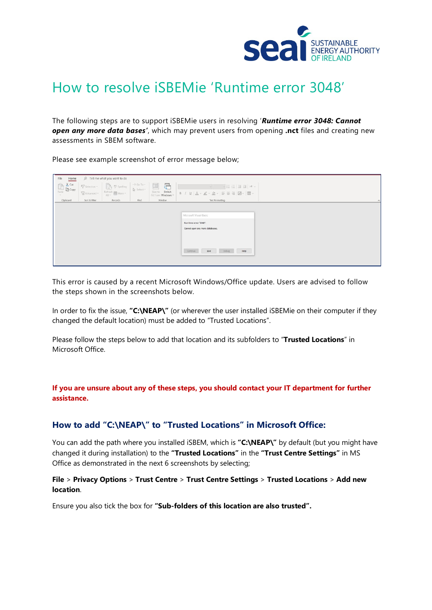

## How to resolve iSBEMie 'Runtime error 3048'

The following steps are to support iSBEMie users in resolving '*Runtime error 3048: Cannot open any more data bases'*, which may prevent users from opening **.nct** files and creating new assessments in SBEM software.

Please see example screenshot of error message below;

| File<br>Home                                                                                                                                                                                                                                                                                                                                        |                              | O Tell me what you want to do                                                                                                    |                                          |                                                                                                                                                                                                                                                                                                                                   |                                                                                                                                                                                                                                                                                            |                    |
|-----------------------------------------------------------------------------------------------------------------------------------------------------------------------------------------------------------------------------------------------------------------------------------------------------------------------------------------------------|------------------------------|----------------------------------------------------------------------------------------------------------------------------------|------------------------------------------|-----------------------------------------------------------------------------------------------------------------------------------------------------------------------------------------------------------------------------------------------------------------------------------------------------------------------------------|--------------------------------------------------------------------------------------------------------------------------------------------------------------------------------------------------------------------------------------------------------------------------------------------|--------------------|
| $\begin{picture}(120,115) \put(0,0){\line(1,0){15}} \put(15,0){\line(1,0){15}} \put(15,0){\line(1,0){15}} \put(15,0){\line(1,0){15}} \put(15,0){\line(1,0){15}} \put(15,0){\line(1,0){15}} \put(15,0){\line(1,0){15}} \put(15,0){\line(1,0){15}} \put(15,0){\line(1,0){15}} \put(15,0){\line(1,0){15}} \put(15,0){\line(1,0){15}} \put(15,0){\line$ | % Selection<br>To Advanced » | $\mathbb{R}$ is Spelling<br>$\mathop{\rm Refresh}_{\rm All} \underset{\mathop{\longleftarrow}}{\underbrace{\rm If~More~}}\times$ | $\rightarrow$ Go To $\times$<br>Select v | $\overline{\mathcal{L}}$<br>Switch<br>$\begin{tabular}{ c c c c } \hline \quad \quad & \quad \quad & \quad \quad \\ \hline \quad \quad & \quad \quad & \quad \quad \\ \hline \quad \quad & \quad \quad & \quad \quad \\ \hline \quad \quad & \quad \quad & \quad \quad \\ \hline \end{tabular}$<br>Size to:<br>Fit Form Windows ~ | √日日 ヨヨ パ -<br>$-1$<br>$B \quad I \quad \underline{\mathsf{U}} \quad \underline{\mathsf{A}} \times \underline{\mathsf{L}} \times \underline{\mathsf{A}} \times \underline{\mathsf{E}} \equiv \equiv \text{Id} \cdot \underline{\mathsf{I}} \mathsf{I} \cdot \underline{\mathsf{I}} \quad .$ |                    |
| Clipboard                                                                                                                                                                                                                                                                                                                                           | Sort & Filter                | Records                                                                                                                          | Find                                     | Window                                                                                                                                                                                                                                                                                                                            | <b>Text Formatting</b>                                                                                                                                                                                                                                                                     | $\curvearrowright$ |
|                                                                                                                                                                                                                                                                                                                                                     |                              |                                                                                                                                  |                                          |                                                                                                                                                                                                                                                                                                                                   | Microsoft Visual Basic<br>Run-time error '3048':<br>Cannot open any more databases.<br>End<br>Help<br>Continue<br>Debug                                                                                                                                                                    |                    |

This error is caused by a recent Microsoft Windows/Office update. Users are advised to follow the steps shown in the screenshots below.

In order to fix the issue, **"C:\NEAP\"** (or wherever the user installed iSBEMie on their computer if they changed the default location) must be added to "Trusted Locations".

Please follow the steps below to add that location and its subfolders to "**Trusted Locations**" in Microsoft Office.

**If you are unsure about any of these steps, you should contact your IT department for further assistance.**

## **How to add "C:\NEAP\" to "Trusted Locations" in Microsoft Office:**

You can add the path where you installed iSBEM, which is "C:\NEAP\" by default (but you might have changed it during installation) to the **"Trusted Locations"** in the **"Trust Centre Settings"** in MS Office as demonstrated in the next 6 screenshots by selecting;

## **File** > **Privacy Options** > **Trust Centre** > **Trust Centre Settings** > **Trusted Locations** > **Add new location**.

Ensure you also tick the box for **"Sub-folders of this location are also trusted".**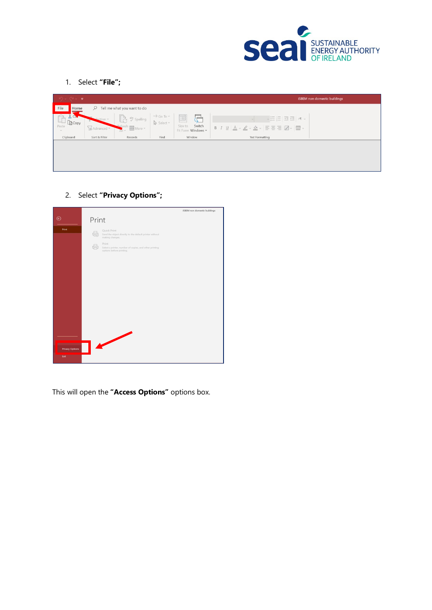

1. Select **"File";**

| $\begin{array}{c} \hline \text{I} & \text{I} & \text{I} & \text{I} \\ \hline \text{I} & \text{I} & \text{I} & \text{I} \end{array}$ |               |                                                                                                                                                 |                                        |                                              | <b>iSBEM</b> non domestic buildings                                                                                                                                                                                                                                 |
|-------------------------------------------------------------------------------------------------------------------------------------|---------------|-------------------------------------------------------------------------------------------------------------------------------------------------|----------------------------------------|----------------------------------------------|---------------------------------------------------------------------------------------------------------------------------------------------------------------------------------------------------------------------------------------------------------------------|
| File<br>Home                                                                                                                        | $\mathcal{Q}$ | Tell me what you want to do                                                                                                                     |                                        |                                              |                                                                                                                                                                                                                                                                     |
| $\lambda$ CM<br>$\Box$ Copy                                                                                                         | To Advanced v | $\begin{bmatrix} \rightarrow & \text{abc} \\ \rightarrow & \text{Spelling} \end{bmatrix}$<br>$\frac{R}{\text{All}} \times \text{H}$ More $\sim$ | $\rightarrow$ Go To $\sim$<br>Select v | 를<br>Switch<br>Size to<br>Fit Form Windows ~ | $\sqrt{\frac{1-\beta}{1-\beta}}\left[\frac{1-\beta}{1-\beta}\right]\frac{1}{\beta^2}\left[\frac{1-\beta}{1-\beta}\right]\sqrt{\eta}\left[\frac{1-\beta}{1-\beta}\right]$<br>$B I U   A \cdot A \cdot \Phi \cdot \overline{B} \equiv E   A \cdot \overline{B} \cdot$ |
| Clipboard                                                                                                                           | Sort & Filter | Records                                                                                                                                         | Find                                   | Window                                       | <b>Text Formatting</b>                                                                                                                                                                                                                                              |
|                                                                                                                                     |               |                                                                                                                                                 |                                        |                                              |                                                                                                                                                                                                                                                                     |

2. Select **"Privacy Options";**



This will open the **"Access Options"** options box.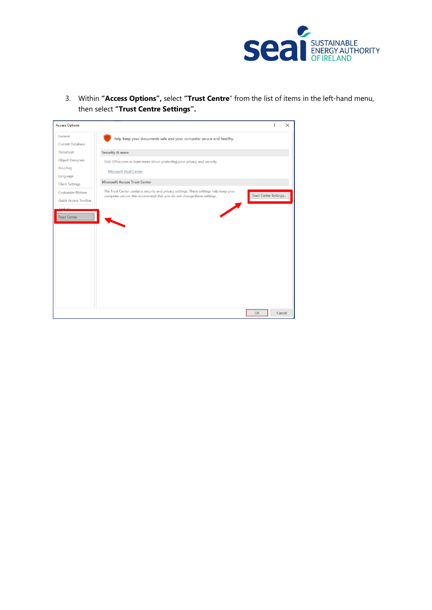

3. Within **"Access Options",** select **"Trust Centre**" from the list of items in the left-hand menu, then select **"Trust Centre Settings".**

| <b>Access Options</b>                                                              |                                                                                                                                                                |                              | 7 | $\times$ |
|------------------------------------------------------------------------------------|----------------------------------------------------------------------------------------------------------------------------------------------------------------|------------------------------|---|----------|
| General<br><b>Current Database</b>                                                 | Help keep your documents safe and your computer secure and healthy.                                                                                            |                              |   |          |
| Datasheet                                                                          | <b>Security &amp; more</b>                                                                                                                                     |                              |   |          |
| <b>Object Designers</b><br>Proofing<br>Language                                    | Visit Office.com to learn more about protecting your privacy and security.<br><b>Microsoft Trust Center</b>                                                    |                              |   |          |
| <b>Client Settings</b>                                                             | <b>Microsoft Access Trust Center</b>                                                                                                                           |                              |   |          |
| Customize Ribbon<br>Quick Access Toolbar<br><b>Audit</b> us<br><b>Trust Center</b> | The Trust Center contains security and privacy settings. These settings help keep your<br>computer secure. We recommend that you do not change these settings. | <b>Irust Center Settings</b> |   |          |
|                                                                                    |                                                                                                                                                                | OK                           |   | Cancel   |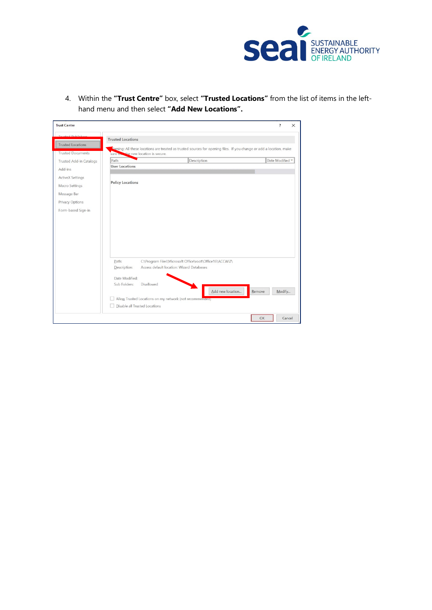

4. Within the **"Trust Centre"** box, select **"Trusted Locations"** from the list of items in the lefthand menu and then select **"Add New Locations".**

| <b>Trust Center</b>      |                                      |                                                                                                                      | ?<br>$\times$   |
|--------------------------|--------------------------------------|----------------------------------------------------------------------------------------------------------------------|-----------------|
| ctod Dublichor           | <b>Trusted Locations</b>             |                                                                                                                      |                 |
| <b>Trusted Locations</b> |                                      |                                                                                                                      |                 |
| <b>Trusted Documents</b> | sure the the new location is secure. | karning: All these locations are treated as trusted sources for opening files. If you change or add a location, make |                 |
| Trusted Add-in Catalogs  | Path                                 | Description                                                                                                          | Date Modified * |
| Add-ins                  | <b>User Locations</b>                |                                                                                                                      |                 |
|                          |                                      |                                                                                                                      |                 |
| <b>ActiveX Settings</b>  | <b>Policy Locations</b>              |                                                                                                                      |                 |
| Macro Settings           |                                      |                                                                                                                      |                 |
| Message Bar              |                                      |                                                                                                                      |                 |
| Privacy Options          |                                      |                                                                                                                      |                 |
| Form-based Sign-in       |                                      |                                                                                                                      |                 |
|                          |                                      |                                                                                                                      |                 |
|                          |                                      |                                                                                                                      |                 |
|                          |                                      |                                                                                                                      |                 |
|                          |                                      |                                                                                                                      |                 |
|                          |                                      |                                                                                                                      |                 |
|                          |                                      |                                                                                                                      |                 |
|                          |                                      |                                                                                                                      |                 |
|                          | Path:                                | C:\Program Files\Microsoft Office\root\Office16\ACCWIZ\                                                              |                 |
|                          | Description:                         | Access default location: Wizard Databases                                                                            |                 |
|                          |                                      |                                                                                                                      |                 |
|                          | Date Modified:                       |                                                                                                                      |                 |
|                          | Sub Folders:                         | Disallowed                                                                                                           |                 |
|                          |                                      | Add new location<br>Remove                                                                                           | Modify          |
|                          |                                      | Allow Trusted Locations on my network (not recommended)                                                              |                 |
|                          | Disable all Trusted Locations<br>H.  |                                                                                                                      |                 |
|                          |                                      | OK                                                                                                                   | Cancel          |
|                          |                                      |                                                                                                                      |                 |